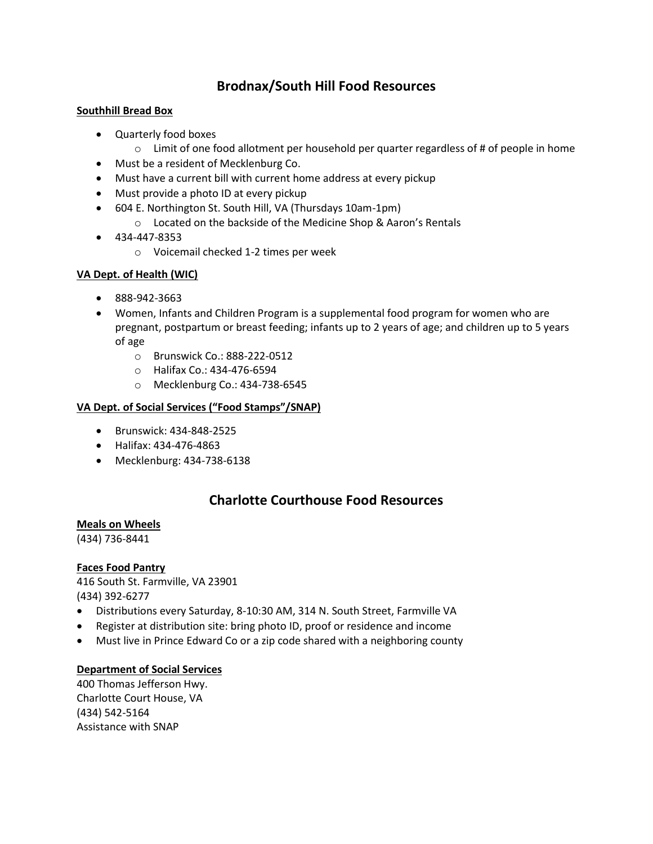# **Brodnax/South Hill Food Resources**

#### **Southhill Bread Box**

- Quarterly food boxes
	- $\circ$  Limit of one food allotment per household per quarter regardless of # of people in home
- Must be a resident of Mecklenburg Co.
- Must have a current bill with current home address at every pickup
- Must provide a photo ID at every pickup
- 604 E. Northington St. South Hill, VA (Thursdays 10am-1pm)
	- o Located on the backside of the Medicine Shop & Aaron's Rentals
- $-434-447-8353$ 
	- o Voicemail checked 1-2 times per week

## **VA Dept. of Health (WIC)**

- 888-942-3663
- Women, Infants and Children Program is a supplemental food program for women who are pregnant, postpartum or breast feeding; infants up to 2 years of age; and children up to 5 years of age
	- o Brunswick Co.: 888-222-0512
	- o Halifax Co.: 434-476-6594
	- o Mecklenburg Co.: 434-738-6545

## **VA Dept. of Social Services ("Food Stamps"/SNAP)**

- Brunswick: 434-848-2525
- Halifax: 434-476-4863
- Mecklenburg: 434-738-6138

# **Charlotte Courthouse Food Resources**

## **Meals on Wheels**

(434) 736-8441

## **Faces Food Pantry**

416 South St. Farmville, VA 23901 (434) 392-6277

- Distributions every Saturday, 8-10:30 AM, 314 N. South Street, Farmville VA
- Register at distribution site: bring photo ID, proof or residence and income
- Must live in Prince Edward Co or a zip code shared with a neighboring county

## **Department of Social Services**

400 Thomas Jefferson Hwy. Charlotte Court House, VA (434) 542-5164 Assistance with SNAP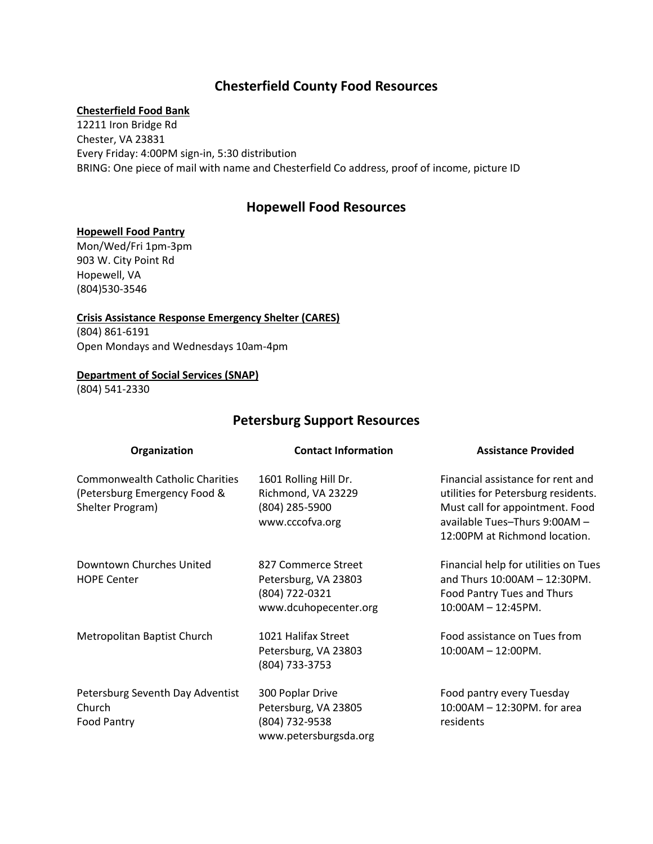## **Chesterfield County Food Resources**

#### **Chesterfield Food Bank**

12211 Iron Bridge Rd Chester, VA 23831 Every Friday: 4:00PM sign-in, 5:30 distribution BRING: One piece of mail with name and Chesterfield Co address, proof of income, picture ID

## **Hopewell Food Resources**

#### **Hopewell Food Pantry**

Mon/Wed/Fri 1pm-3pm 903 W. City Point Rd Hopewell, VA (804)530-3546

**Crisis Assistance Response Emergency Shelter (CARES)** (804) 861-6191 Open Mondays and Wednesdays 10am-4pm

#### **Department of Social Services (SNAP)**

(804) 541-2330

## **Petersburg Support Resources**

| Organization                                                                               | <b>Contact Information</b>                                                             | <b>Assistance Provided</b>                                                                                                                                                    |
|--------------------------------------------------------------------------------------------|----------------------------------------------------------------------------------------|-------------------------------------------------------------------------------------------------------------------------------------------------------------------------------|
| <b>Commonwealth Catholic Charities</b><br>(Petersburg Emergency Food &<br>Shelter Program) | 1601 Rolling Hill Dr.<br>Richmond, VA 23229<br>(804) 285-5900<br>www.cccofva.org       | Financial assistance for rent and<br>utilities for Petersburg residents.<br>Must call for appointment. Food<br>available Tues-Thurs 9:00AM -<br>12:00PM at Richmond location. |
| Downtown Churches United<br><b>HOPE Center</b>                                             | 827 Commerce Street<br>Petersburg, VA 23803<br>(804) 722-0321<br>www.dcuhopecenter.org | Financial help for utilities on Tues<br>and Thurs $10:00AM - 12:30PM$ .<br>Food Pantry Tues and Thurs<br>10:00AM - 12:45PM.                                                   |
| Metropolitan Baptist Church                                                                | 1021 Halifax Street<br>Petersburg, VA 23803<br>(804) 733-3753                          | Food assistance on Tues from<br>$10:00AM - 12:00PM$ .                                                                                                                         |
| Petersburg Seventh Day Adventist<br>Church<br>Food Pantry                                  | 300 Poplar Drive<br>Petersburg, VA 23805<br>(804) 732-9538<br>www.petersburgsda.org    | Food pantry every Tuesday<br>10:00AM - 12:30PM. for area<br>residents                                                                                                         |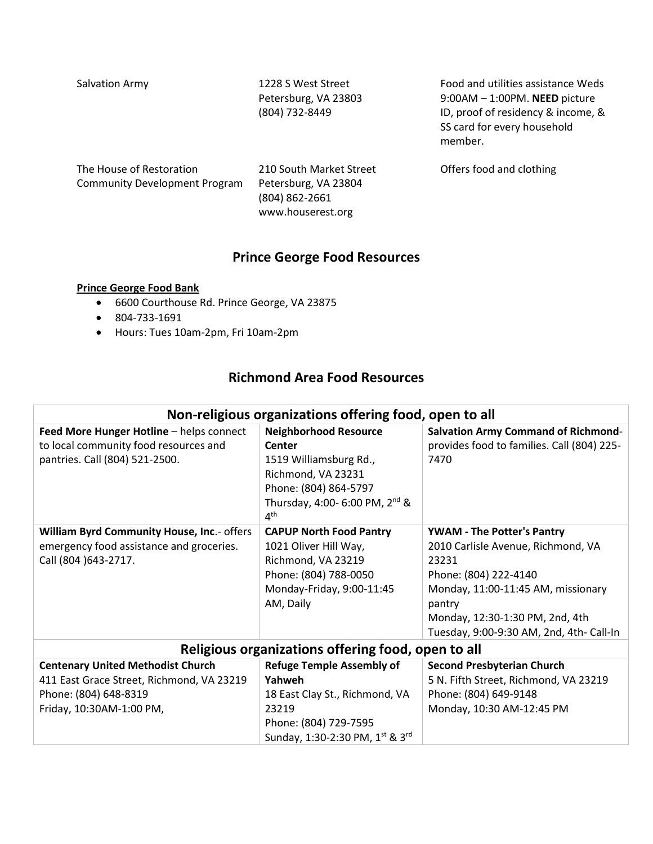Salvation Army 1228 S West Street Petersburg, VA 23803 (804) 732-8449

Food and utilities assistance Weds 9:00AM – 1:00PM. **NEED** picture ID, proof of residency & income, & SS card for every household member.

| The House of Restoration      | 210 South Market Street | Offers food and clothing |
|-------------------------------|-------------------------|--------------------------|
| Community Development Program | Petersburg, VA 23804    |                          |
|                               | (804) 862-2661          |                          |
|                               | www.houserest.org       |                          |

# **Prince George Food Resources**

#### **Prince George Food Bank**

- 6600 Courthouse Rd. Prince George, VA 23875
- 804-733-1691
- Hours: Tues 10am-2pm, Fri 10am-2pm

# **Richmond Area Food Resources**

| Non-religious organizations offering food, open to all                                                                                     |                                                                                                                                                                                  |                                                                                                                                                                                                                                          |  |  |
|--------------------------------------------------------------------------------------------------------------------------------------------|----------------------------------------------------------------------------------------------------------------------------------------------------------------------------------|------------------------------------------------------------------------------------------------------------------------------------------------------------------------------------------------------------------------------------------|--|--|
| Feed More Hunger Hotline - helps connect<br>to local community food resources and<br>pantries. Call (804) 521-2500.                        | <b>Neighborhood Resource</b><br>Center<br>1519 Williamsburg Rd.,<br>Richmond, VA 23231<br>Phone: (804) 864-5797<br>Thursday, 4:00- 6:00 PM, 2 <sup>nd</sup> &<br>4 <sup>th</sup> | <b>Salvation Army Command of Richmond-</b><br>provides food to families. Call (804) 225-<br>7470                                                                                                                                         |  |  |
| William Byrd Community House, Inc.- offers<br>emergency food assistance and groceries.<br>Call (804 ) 643-2717.                            | <b>CAPUP North Food Pantry</b><br>1021 Oliver Hill Way,<br>Richmond, VA 23219<br>Phone: (804) 788-0050<br>Monday-Friday, 9:00-11:45<br>AM, Daily                                 | <b>YWAM - The Potter's Pantry</b><br>2010 Carlisle Avenue, Richmond, VA<br>23231<br>Phone: (804) 222-4140<br>Monday, 11:00-11:45 AM, missionary<br>pantry<br>Monday, 12:30-1:30 PM, 2nd, 4th<br>Tuesday, 9:00-9:30 AM, 2nd, 4th- Call-In |  |  |
| Religious organizations offering food, open to all                                                                                         |                                                                                                                                                                                  |                                                                                                                                                                                                                                          |  |  |
| <b>Centenary United Methodist Church</b><br>411 East Grace Street, Richmond, VA 23219<br>Phone: (804) 648-8319<br>Friday, 10:30AM-1:00 PM, | <b>Refuge Temple Assembly of</b><br>Yahweh<br>18 East Clay St., Richmond, VA<br>23219<br>Phone: (804) 729-7595<br>Sunday, 1:30-2:30 PM, 1st & 3rd                                | <b>Second Presbyterian Church</b><br>5 N. Fifth Street, Richmond, VA 23219<br>Phone: (804) 649-9148<br>Monday, 10:30 AM-12:45 PM                                                                                                         |  |  |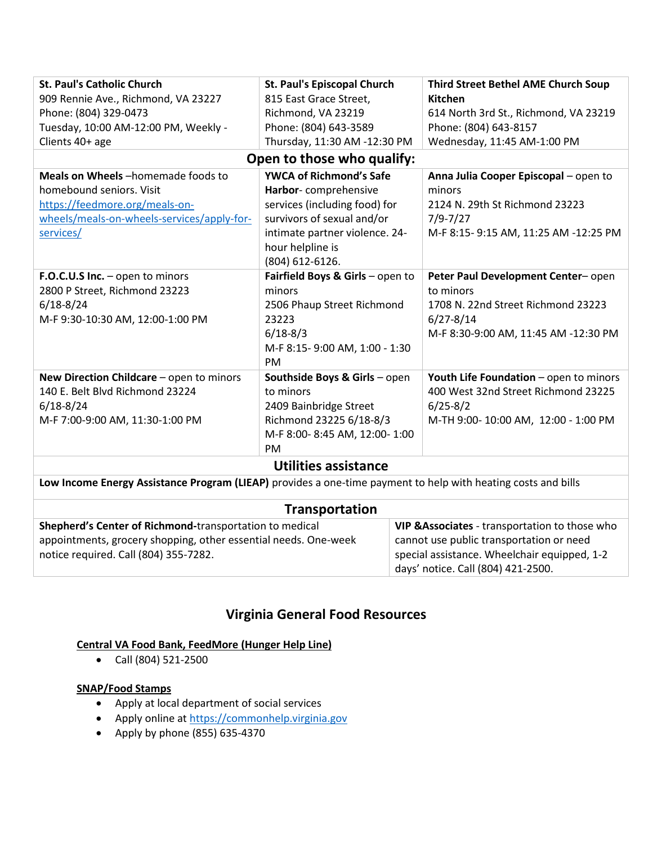| <b>St. Paul's Catholic Church</b>          | <b>St. Paul's Episcopal Church</b> | <b>Third Street Bethel AME Church Soup</b> |  |  |
|--------------------------------------------|------------------------------------|--------------------------------------------|--|--|
| 909 Rennie Ave., Richmond, VA 23227        | 815 East Grace Street,             | Kitchen                                    |  |  |
| Phone: (804) 329-0473                      | Richmond, VA 23219                 | 614 North 3rd St., Richmond, VA 23219      |  |  |
| Tuesday, 10:00 AM-12:00 PM, Weekly -       | Phone: (804) 643-3589              | Phone: (804) 643-8157                      |  |  |
| Clients 40+ age                            | Thursday, 11:30 AM -12:30 PM       | Wednesday, 11:45 AM-1:00 PM                |  |  |
| Open to those who qualify:                 |                                    |                                            |  |  |
| Meals on Wheels-homemade foods to          | <b>YWCA of Richmond's Safe</b>     | Anna Julia Cooper Episcopal - open to      |  |  |
| homebound seniors. Visit                   | Harbor-comprehensive               | minors                                     |  |  |
| https://feedmore.org/meals-on-             | services (including food) for      | 2124 N. 29th St Richmond 23223             |  |  |
| wheels/meals-on-wheels-services/apply-for- | survivors of sexual and/or         | $7/9 - 7/27$                               |  |  |
| services/                                  | intimate partner violence. 24-     | M-F 8:15-9:15 AM, 11:25 AM -12:25 PM       |  |  |
|                                            | hour helpline is                   |                                            |  |  |
|                                            | (804) 612-6126.                    |                                            |  |  |
| F.O.C.U.S Inc. - open to minors            | Fairfield Boys & Girls - open to   | Peter Paul Development Center-open         |  |  |
| 2800 P Street, Richmond 23223              | minors                             | to minors                                  |  |  |
| $6/18 - 8/24$                              | 2506 Phaup Street Richmond         | 1708 N. 22nd Street Richmond 23223         |  |  |
| M-F 9:30-10:30 AM, 12:00-1:00 PM           | 23223                              | $6/27 - 8/14$                              |  |  |
|                                            | $6/18 - 8/3$                       | M-F 8:30-9:00 AM, 11:45 AM -12:30 PM       |  |  |
|                                            | M-F 8:15-9:00 AM, 1:00 - 1:30      |                                            |  |  |
|                                            | <b>PM</b>                          |                                            |  |  |
| New Direction Childcare - open to minors   | Southside Boys & Girls - open      | Youth Life Foundation - open to minors     |  |  |
| 140 E. Belt Blvd Richmond 23224            | to minors                          | 400 West 32nd Street Richmond 23225        |  |  |
| $6/18 - 8/24$                              | 2409 Bainbridge Street             | $6/25 - 8/2$                               |  |  |
| M-F 7:00-9:00 AM, 11:30-1:00 PM            | Richmond 23225 6/18-8/3            | M-TH 9:00-10:00 AM, 12:00 - 1:00 PM        |  |  |
|                                            | M-F 8:00-8:45 AM, 12:00-1:00       |                                            |  |  |
|                                            | <b>PM</b>                          |                                            |  |  |
| <b>Utilities assistance</b>                |                                    |                                            |  |  |
|                                            |                                    |                                            |  |  |

**Low Income Energy Assistance Program (LIEAP)** provides a one-time payment to help with heating costs and bills

| Transportation                                                                                                                                                      |                                                                                                                                            |  |
|---------------------------------------------------------------------------------------------------------------------------------------------------------------------|--------------------------------------------------------------------------------------------------------------------------------------------|--|
| Shepherd's Center of Richmond-transportation to medical<br>appointments, grocery shopping, other essential needs. One-week<br>notice required. Call (804) 355-7282. | VIP & Associates - transportation to those who<br>cannot use public transportation or need<br>special assistance. Wheelchair equipped, 1-2 |  |
|                                                                                                                                                                     | days' notice. Call (804) 421-2500.                                                                                                         |  |

# **Virginia General Food Resources**

# **Central VA Food Bank, FeedMore (Hunger Help Line)**

Call (804) 521-2500

# **SNAP/Food Stamps**

- Apply at local department of social services
- Apply online a[t https://commonhelp.virginia.gov](https://commonhelp.virginia.gov/)
- Apply by phone  $(855)$  635-4370